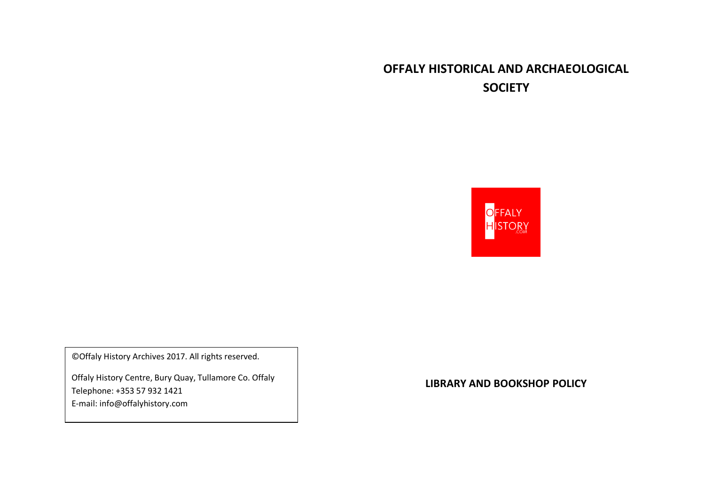# **OFFALY HISTORICAL AND ARCHAEOLOGICAL SOCIETY**



©Offaly History Archives 2017. All rights reserved.

Offaly History Centre, Bury Quay, Tullamore Co. Offaly Telephone: +353 57 932 1421 E-mail: info@offalyhistory.com

**LIBRARY AND BOOKSHOP POLICY**